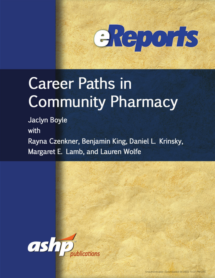

# **Career Paths in Community Pharmacy**

Jaclyn Boyle

with

Rayna Czenkner, Benjamin King, Daniel L. Krinsky, Margaret E. Lamb, and Lauren Wolfe

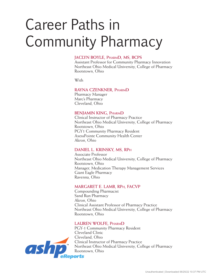# Career Paths in Community Pharmacy

#### **JACLYN BOYLE, PharmD, MS, BCPS**

Assistant Professor for Community Pharmacy Innovation Northeast Ohio Medical University, College of Pharmacy Rootstown, Ohio

With

#### **RAYNA CZENKNER, PharmD**

Pharmacy Manager Marc's Pharmacy Cleveland, Ohio

#### **BENJAMIN KING, PharmD**

Clinical Instructor of Pharmacy Practice Northeast Ohio Medical University, College of Pharmacy Rootstown, Ohio PGY1 Community Pharmacy Resident AxessPointe Community Health Center Akron, Ohio

#### **DANIEL L. KRINSKY, MS, RPh**

Associate Professor Northeast Ohio Medical University, College of Pharmacy Rootstown, Ohio Manager, Medication Therapy Management Services Giant Eagle Pharmacy Ravenna, Ohio

#### **MARGARET E. LAMB, RPh, FACVP**

Compounding Pharmacist Sand Run Pharmacy Akron, Ohio Clinical Assistant Professor of Pharmacy Practice Northeast Ohio Medical University, College of Pharmacy Rootstown, Ohio

#### **LAUREN WOLFE, PharmD**

PGY-1 Community Pharmacy Resident Cleveland Clinic Cleveland, Ohio Clinical Instructor of Pharmacy Practice Northeast Ohio Medical University, College of Pharmacy Rootstown, Ohio

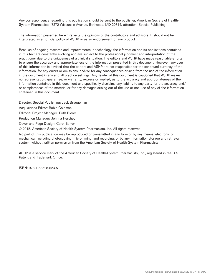Any correspondence regarding this publication should be sent to the publisher, American Society of Health-System Pharmacists, 7272 Wisconsin Avenue, Bethesda, MD 20814, attention: Special Publishing.

The information presented herein reflects the opinions of the contributors and advisors. It should not be interpreted as an official policy of ASHP or as an endorsement of any product.

Because of ongoing research and improvements in technology, the information and its applications contained in this text are constantly evolving and are subject to the professional judgment and interpretation of the practitioner due to the uniqueness of a clinical situation. The editors and ASHP have made reasonable efforts to ensure the accuracy and appropriateness of the information presented in this document. However, any user of this information is advised that the editors and ASHP are not responsible for the continued currency of the information, for any errors or omissions, and/or for any consequences arising from the use of the information in the document in any and all practice settings. Any reader of this document is cautioned that ASHP makes no representation, guarantee, or warranty, express or implied, as to the accuracy and appropriateness of the information contained in this document and specifically disclaims any liability to any party for the accuracy and/ or completeness of the material or for any damages arising out of the use or non-use of any of the information contained in this document.

Director, Special Publishing: Jack Bruggeman

Acquisitions Editor: Robin Coleman

Editorial Project Manager: Ruth Bloom

Production Manager: Johnna Hershey

Cover and Page Design: Carol Barrer

© 2015, American Society of Health-System Pharmacists, Inc. All rights reserved.

No part of this publication may be reproduced or transmitted in any form or by any means, electronic or mechanical, including photocopying, microfilming, and recording, or by any information storage and retrieval system, without written permission from the American Society of Health-System Pharmacists.

ASHP is a service mark of the American Society of Health-System Pharmacists, Inc.; registered in the U.S. Patent and Trademark Office.

ISBN: 978-1-58528-523-5